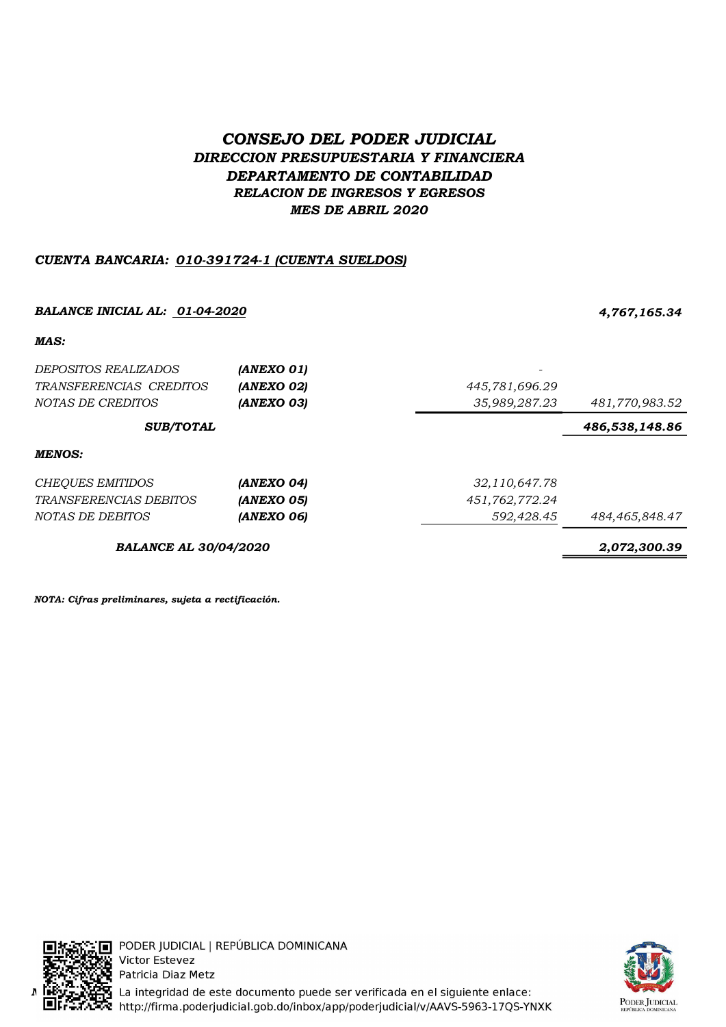# CONSEJO DEL PODER JUDICIAL DIRECCION PRESUPUESTARIA Y FINANCIERA DEPARTAMENTO DE CONTABILIDAD RELACION DE INGRESOS Y EGRESOS MES DE ABRIL 2020

## CUENTA BANCARIA: 010-391724-1 (CUENTA SUELDOS)

### BALANCE INICIAL AL: 01-04-2020 4,767,165.34

#### MAS:

| <i>DEPOSITOS REALIZADOS</i><br>TRANSFERENCIAS CREDITOS<br>NOTAS DE CREDITOS | (ANEXO 01)<br>(ANEXO 02)<br>(ANEXO 03) | 445,781,696.29<br>35,989,287.23 | 481,770,983.52 |
|-----------------------------------------------------------------------------|----------------------------------------|---------------------------------|----------------|
| <b>SUB/TOTAL</b>                                                            |                                        |                                 | 486,538,148.86 |
| <b>MENOS:</b>                                                               |                                        |                                 |                |
| <b>CHEOUES EMITIDOS</b>                                                     | (ANEXO 04)                             | 32,110,647.78                   |                |
| <i>TRANSFERENCIAS DEBITOS</i>                                               | (ANEXO 05)                             | 451,762,772.24                  |                |
| NOTAS DE DEBITOS                                                            | (ANEXO 06)                             | 592,428.45                      | 484,465,848.47 |
| <b>BALANCE AL 30/04/2020</b>                                                |                                        |                                 | 2,072,300.39   |

NOTA: Cifras preliminares, sujeta a rectificación.



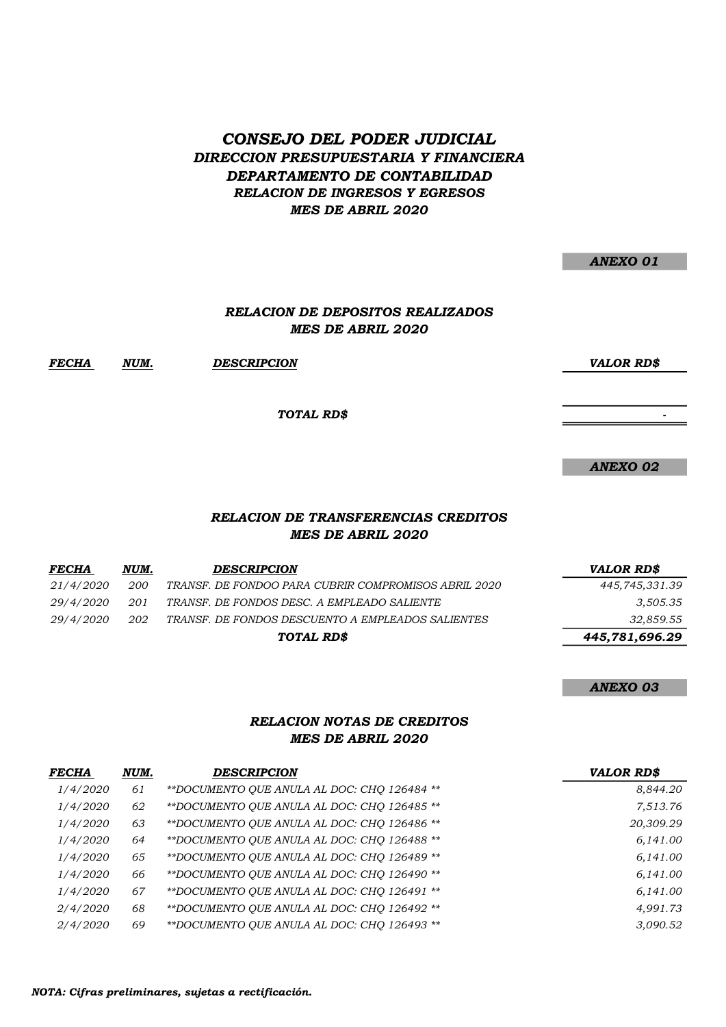## CONSEJO DEL PODER JUDICIAL DIRECCION PRESUPUESTARIA Y FINANCIERA DEPARTAMENTO DE CONTABILIDAD RELACION DE INGRESOS Y EGRESOS MES DE ABRIL 2020

|              |      |                                                                     | <b>ANEXO 01</b>   |
|--------------|------|---------------------------------------------------------------------|-------------------|
|              |      | <b>RELACION DE DEPOSITOS REALIZADOS</b><br><b>MES DE ABRIL 2020</b> |                   |
| <b>FECHA</b> | NUM. | <b>DESCRIPCION</b>                                                  | <b>VALOR RD\$</b> |
|              |      | TOTAL RD\$                                                          |                   |
|              |      |                                                                     |                   |
|              |      |                                                                     | <b>ANEXO 02</b>   |
|              |      | RELACION DE TRANSFERENCIAS CREDITOS                                 |                   |

#### MES DE ABRIL 2020 RELACION DI

| FECHA     | NUM. | <b>DESCRIPCION</b>                                   | <b>VALOR RDS</b> |
|-----------|------|------------------------------------------------------|------------------|
| 21/4/2020 | 200  | TRANSF. DE FONDOO PARA CUBRIR COMPROMISOS ABRIL 2020 | 445,745,331.39   |
| 29/4/2020 | 201  | TRANSF. DE FONDOS DESC. A EMPLEADO SALIENTE          | 3,505.35         |
| 29/4/2020 | 202  | TRANSF. DE FONDOS DESCUENTO A EMPLEADOS SALIENTES    | 32,859.55        |
|           |      | TOTAL RD\$                                           | 445,781,696.29   |

ANEXO 03

#### RELACION NOTAS DE CREDITOS MES DE ABRIL 2020

| <i>FECHA</i> | NUM. | <b>DESCRIPCION</b>                          | <b>VALOR RD\$</b> |
|--------------|------|---------------------------------------------|-------------------|
| 1/4/2020     | 61   | **DOCUMENTO OUE ANULA AL DOC: CHO 126484 ** | 8,844.20          |
| 1/4/2020     | 62   | **DOCUMENTO QUE ANULA AL DOC: CHQ 126485 ** | 7,513.76          |
| 1/4/2020     | 63   | **DOCUMENTO OUE ANULA AL DOC: CHO 126486 ** | 20,309.29         |
| 1/4/2020     | 64   | **DOCUMENTO OUE ANULA AL DOC: CHO 126488 ** | 6,141.00          |
| 1/4/2020     | 65   | **DOCUMENTO QUE ANULA AL DOC: CHQ 126489 ** | 6,141.00          |
| 1/4/2020     | 66   | **DOCUMENTO OUE ANULA AL DOC: CHO 126490 ** | 6,141.00          |
| 1/4/2020     | 67   | **DOCUMENTO OUE ANULA AL DOC: CHO 126491 ** | 6,141.00          |
| 2/4/2020     | 68   | **DOCUMENTO OUE ANULA AL DOC: CHO 126492 ** | 4,991.73          |
| 2/4/2020     | 69   | **DOCUMENTO OUE ANULA AL DOC: CHO 126493 ** | 3.090.52          |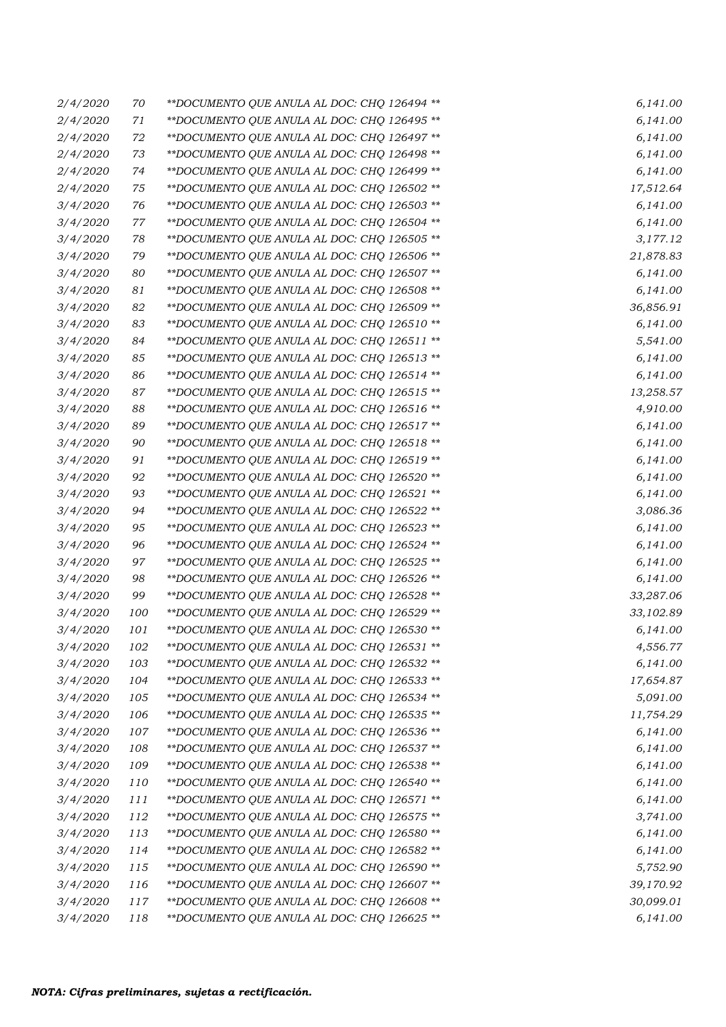| 2/4/2020 | 70  | **DOCUMENTO QUE ANULA AL DOC: CHQ 126494 **  | 6,141.00  |
|----------|-----|----------------------------------------------|-----------|
| 2/4/2020 | 71  | ** DOCUMENTO QUE ANULA AL DOC: CHQ 126495 ** | 6,141.00  |
| 2/4/2020 | 72  | ** DOCUMENTO QUE ANULA AL DOC: CHQ 126497 ** | 6,141.00  |
| 2/4/2020 | 73  | ** DOCUMENTO QUE ANULA AL DOC: CHQ 126498 ** | 6,141.00  |
| 2/4/2020 | 74  | **DOCUMENTO QUE ANULA AL DOC: CHQ 126499 **  | 6,141.00  |
| 2/4/2020 | 75  | **DOCUMENTO QUE ANULA AL DOC: CHQ 126502 **  | 17,512.64 |
| 3/4/2020 | 76  | **DOCUMENTO QUE ANULA AL DOC: CHQ 126503 **  | 6,141.00  |
| 3/4/2020 | 77  | **DOCUMENTO QUE ANULA AL DOC: CHQ 126504 **  | 6,141.00  |
| 3/4/2020 | 78  | **DOCUMENTO QUE ANULA AL DOC: CHQ 126505 **  | 3,177.12  |
| 3/4/2020 | 79  | **DOCUMENTO QUE ANULA AL DOC: CHQ 126506 **  | 21,878.83 |
| 3/4/2020 | 80  | **DOCUMENTO QUE ANULA AL DOC: CHQ 126507 **  | 6,141.00  |
| 3/4/2020 | 81  | **DOCUMENTO QUE ANULA AL DOC: CHQ 126508 **  | 6,141.00  |
| 3/4/2020 | 82  | **DOCUMENTO QUE ANULA AL DOC: CHQ 126509 **  | 36,856.91 |
| 3/4/2020 | 83  | **DOCUMENTO QUE ANULA AL DOC: CHQ 126510 **  | 6,141.00  |
| 3/4/2020 | 84  | **DOCUMENTO QUE ANULA AL DOC: CHQ 126511 **  | 5,541.00  |
| 3/4/2020 | 85  | **DOCUMENTO QUE ANULA AL DOC: CHQ 126513 **  | 6,141.00  |
| 3/4/2020 | 86  | **DOCUMENTO QUE ANULA AL DOC: CHQ 126514 **  | 6,141.00  |
| 3/4/2020 | 87  | **DOCUMENTO QUE ANULA AL DOC: CHQ 126515 **  | 13,258.57 |
| 3/4/2020 | 88  | **DOCUMENTO QUE ANULA AL DOC: CHQ 126516 **  | 4,910.00  |
| 3/4/2020 | 89  | **DOCUMENTO QUE ANULA AL DOC: CHQ 126517 **  | 6,141.00  |
| 3/4/2020 | 90  | **DOCUMENTO QUE ANULA AL DOC: CHQ 126518 **  | 6,141.00  |
| 3/4/2020 | 91  | **DOCUMENTO QUE ANULA AL DOC: CHQ 126519 **  | 6,141.00  |
| 3/4/2020 | 92  | **DOCUMENTO QUE ANULA AL DOC: CHQ 126520 **  | 6,141.00  |
| 3/4/2020 | 93  | **DOCUMENTO QUE ANULA AL DOC: CHQ 126521 **  | 6,141.00  |
| 3/4/2020 | 94  | **DOCUMENTO QUE ANULA AL DOC: CHQ 126522 **  | 3,086.36  |
| 3/4/2020 | 95  | **DOCUMENTO QUE ANULA AL DOC: CHQ 126523 **  | 6,141.00  |
| 3/4/2020 | 96  | **DOCUMENTO QUE ANULA AL DOC: CHQ 126524 **  | 6,141.00  |
| 3/4/2020 | 97  | **DOCUMENTO QUE ANULA AL DOC: CHQ 126525 **  | 6,141.00  |
| 3/4/2020 | 98  | **DOCUMENTO QUE ANULA AL DOC: CHQ 126526 **  | 6,141.00  |
| 3/4/2020 | 99  | **DOCUMENTO QUE ANULA AL DOC: CHQ 126528 **  | 33,287.06 |
| 3/4/2020 | 100 | **DOCUMENTO QUE ANULA AL DOC: CHQ 126529 **  | 33,102.89 |
| 3/4/2020 | 101 | ** DOCUMENTO QUE ANULA AL DOC: CHQ 126530 ** | 6,141.00  |
| 3/4/2020 | 102 | **DOCUMENTO QUE ANULA AL DOC: CHQ 126531 **  | 4,556.77  |
| 3/4/2020 | 103 | **DOCUMENTO QUE ANULA AL DOC: CHQ 126532 **  | 6,141.00  |
| 3/4/2020 | 104 | **DOCUMENTO QUE ANULA AL DOC: CHQ 126533 **  | 17,654.87 |
| 3/4/2020 | 105 | **DOCUMENTO QUE ANULA AL DOC: CHQ 126534 **  | 5,091.00  |
| 3/4/2020 | 106 | **DOCUMENTO QUE ANULA AL DOC: CHQ 126535 **  | 11,754.29 |
| 3/4/2020 | 107 | **DOCUMENTO QUE ANULA AL DOC: CHQ 126536 **  | 6,141.00  |
| 3/4/2020 | 108 | **DOCUMENTO QUE ANULA AL DOC: CHQ 126537 **  | 6,141.00  |
| 3/4/2020 | 109 | **DOCUMENTO QUE ANULA AL DOC: CHQ 126538 **  | 6,141.00  |
| 3/4/2020 | 110 | **DOCUMENTO QUE ANULA AL DOC: CHQ 126540 **  | 6,141.00  |
| 3/4/2020 | 111 | ** DOCUMENTO QUE ANULA AL DOC: CHQ 126571 ** | 6,141.00  |
| 3/4/2020 | 112 | **DOCUMENTO QUE ANULA AL DOC: CHQ 126575 **  | 3,741.00  |
| 3/4/2020 | 113 | **DOCUMENTO QUE ANULA AL DOC: CHQ 126580 **  | 6,141.00  |
| 3/4/2020 | 114 | **DOCUMENTO QUE ANULA AL DOC: CHQ 126582 **  | 6,141.00  |
| 3/4/2020 | 115 | **DOCUMENTO QUE ANULA AL DOC: CHQ 126590 **  | 5,752.90  |
| 3/4/2020 | 116 | **DOCUMENTO QUE ANULA AL DOC: CHQ 126607 **  | 39,170.92 |
| 3/4/2020 | 117 | **DOCUMENTO QUE ANULA AL DOC: CHQ 126608 **  | 30,099.01 |
| 3/4/2020 | 118 | **DOCUMENTO QUE ANULA AL DOC: CHQ 126625 **  | 6,141.00  |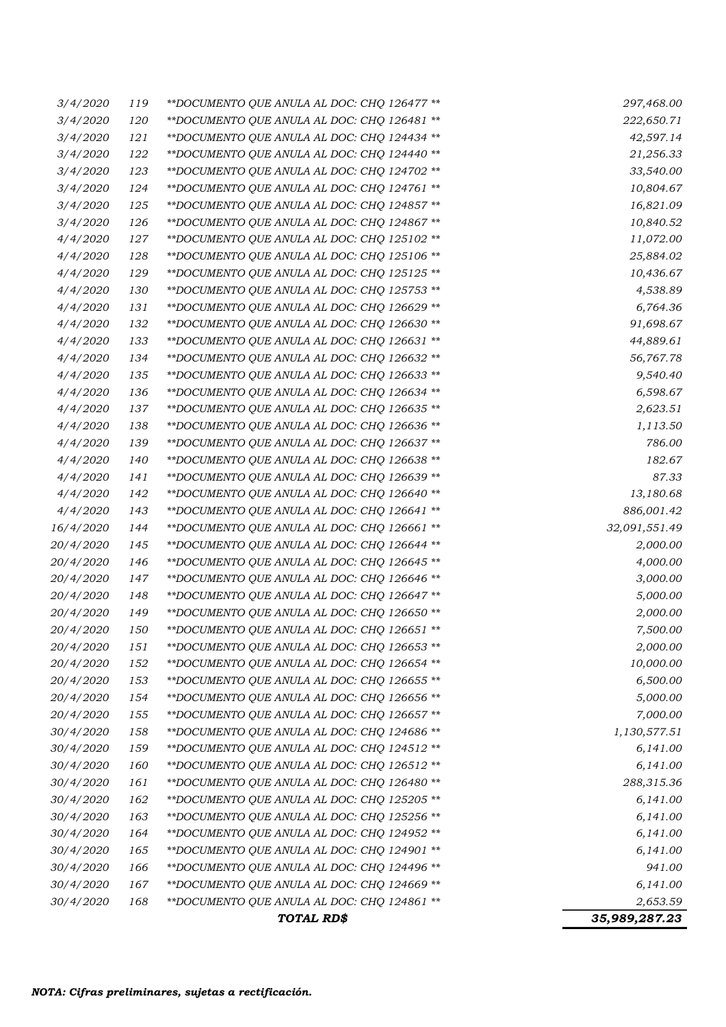|                  |     | TOTAL RD\$                                   | 35,989,287.23 |
|------------------|-----|----------------------------------------------|---------------|
| 30/4/2020        | 168 | ** DOCUMENTO QUE ANULA AL DOC: CHQ 124861 ** | 2,653.59      |
| 30/4/2020        | 167 | ** DOCUMENTO QUE ANULA AL DOC: CHQ 124669 ** | 6,141.00      |
| <i>30/4/2020</i> | 166 | **DOCUMENTO QUE ANULA AL DOC: CHQ 124496 **  | 941.00        |
| <i>30/4/2020</i> | 165 | **DOCUMENTO QUE ANULA AL DOC: CHQ 124901 **  | 6,141.00      |
| <i>30/4/2020</i> | 164 | ** DOCUMENTO QUE ANULA AL DOC: CHQ 124952 ** | 6,141.00      |
| 30/4/2020        | 163 | ** DOCUMENTO QUE ANULA AL DOC: CHQ 125256 ** | 6,141.00      |
| 30/4/2020        | 162 | **DOCUMENTO QUE ANULA AL DOC: CHQ 125205 **  | 6,141.00      |
| 30/4/2020        | 161 | **DOCUMENTO QUE ANULA AL DOC: CHQ 126480 **  | 288,315.36    |
| 30/4/2020        | 160 | ** DOCUMENTO QUE ANULA AL DOC: CHQ 126512 ** | 6,141.00      |
| <i>30/4/2020</i> | 159 | **DOCUMENTO QUE ANULA AL DOC: CHQ 124512 **  | 6,141.00      |
| <i>30/4/2020</i> | 158 | **DOCUMENTO QUE ANULA AL DOC: CHQ 124686 **  | 1,130,577.51  |
| 20/4/2020        | 155 | **DOCUMENTO QUE ANULA AL DOC: CHQ 126657 **  | 7,000.00      |
| <i>20/4/2020</i> | 154 | **DOCUMENTO QUE ANULA AL DOC: CHQ 126656 **  | 5,000.00      |
| <i>20/4/2020</i> | 153 | **DOCUMENTO QUE ANULA AL DOC: CHQ 126655 **  | 6,500.00      |
| <i>20/4/2020</i> | 152 | ** DOCUMENTO QUE ANULA AL DOC: CHQ 126654 ** | 10,000.00     |
| <i>20/4/2020</i> | 151 | **DOCUMENTO QUE ANULA AL DOC: CHQ 126653 **  | 2,000.00      |
| 20/4/2020        | 150 | ** DOCUMENTO QUE ANULA AL DOC: CHQ 126651 ** | 7,500.00      |
| 20/4/2020        | 149 | **DOCUMENTO QUE ANULA AL DOC: CHQ 126650 **  | 2,000.00      |
| 20/4/2020        | 148 | **DOCUMENTO QUE ANULA AL DOC: CHQ 126647 **  | 5,000.00      |
| <i>20/4/2020</i> | 147 | **DOCUMENTO QUE ANULA AL DOC: CHQ 126646 **  | 3,000.00      |
| <i>20/4/2020</i> | 146 | **DOCUMENTO QUE ANULA AL DOC: CHQ 126645 **  | 4,000.00      |
| 20/4/2020        | 145 | **DOCUMENTO QUE ANULA AL DOC: CHQ 126644 **  | 2,000.00      |
| 16/4/2020        | 144 | **DOCUMENTO QUE ANULA AL DOC: CHQ 126661 **  | 32,091,551.49 |
| 4/4/2020         | 143 | **DOCUMENTO QUE ANULA AL DOC: CHQ 126641 **  | 886,001.42    |
| 4/4/2020         | 142 | **DOCUMENTO QUE ANULA AL DOC: CHQ 126640 **  | 13,180.68     |
| 4/4/2020         | 141 | **DOCUMENTO QUE ANULA AL DOC: CHQ 126639 **  | 87.33         |
| 4/4/2020         | 140 | **DOCUMENTO QUE ANULA AL DOC: CHQ 126638 **  | 182.67        |
| 4/4/2020         | 139 | **DOCUMENTO QUE ANULA AL DOC: CHQ 126637 **  | 786.00        |
| 4/4/2020         | 138 | **DOCUMENTO QUE ANULA AL DOC: CHQ 126636 **  | 1,113.50      |
| 4/4/2020         | 137 | **DOCUMENTO QUE ANULA AL DOC: CHQ 126635 **  | 2,623.51      |
| 4/4/2020         | 136 | **DOCUMENTO QUE ANULA AL DOC: CHQ 126634 **  | 6,598.67      |
| 4/4/2020         | 135 | **DOCUMENTO QUE ANULA AL DOC: CHQ 126633 **  | 9,540.40      |
| 4/4/2020         | 134 | **DOCUMENTO QUE ANULA AL DOC: CHQ 126632 **  | 56,767.78     |
| 4/4/2020         | 133 | **DOCUMENTO QUE ANULA AL DOC: CHQ 126631 **  | 44,889.61     |
| 4/4/2020         | 132 | **DOCUMENTO QUE ANULA AL DOC: CHQ 126630 **  | 91,698.67     |
| 4/4/2020         | 131 | **DOCUMENTO QUE ANULA AL DOC: CHQ 126629 **  | 6,764.36      |
| 4/4/2020         | 130 | **DOCUMENTO QUE ANULA AL DOC: CHQ 125753 **  | 4,538.89      |
| 4/4/2020         | 129 | **DOCUMENTO QUE ANULA AL DOC: CHQ 125125 **  | 10,436.67     |
| 4/4/2020         | 128 | **DOCUMENTO QUE ANULA AL DOC: CHQ 125106 **  | 25,884.02     |
| 4/4/2020         | 127 | **DOCUMENTO QUE ANULA AL DOC: CHQ 125102 **  | 11,072.00     |
| 3/4/2020         | 126 | **DOCUMENTO QUE ANULA AL DOC: CHQ 124867 **  | 10,840.52     |
| 3/4/2020         | 125 | **DOCUMENTO QUE ANULA AL DOC: CHQ 124857 **  | 16,821.09     |
| 3/4/2020         | 124 | **DOCUMENTO QUE ANULA AL DOC: CHQ 124761 **  | 10,804.67     |
| 3/4/2020         | 123 | **DOCUMENTO QUE ANULA AL DOC: CHQ 124702 **  | 33,540.00     |
| 3/4/2020         | 122 | ** DOCUMENTO QUE ANULA AL DOC: CHQ 124440 ** | 21,256.33     |
| 3/4/2020         | 121 | **DOCUMENTO QUE ANULA AL DOC: CHQ 124434 **  | 42,597.14     |
| 3/4/2020         | 120 | **DOCUMENTO QUE ANULA AL DOC: CHQ 126481 **  | 222,650.71    |
| 3/4/2020         | 119 | **DOCUMENTO QUE ANULA AL DOC: CHQ 126477 **  | 297,468.00    |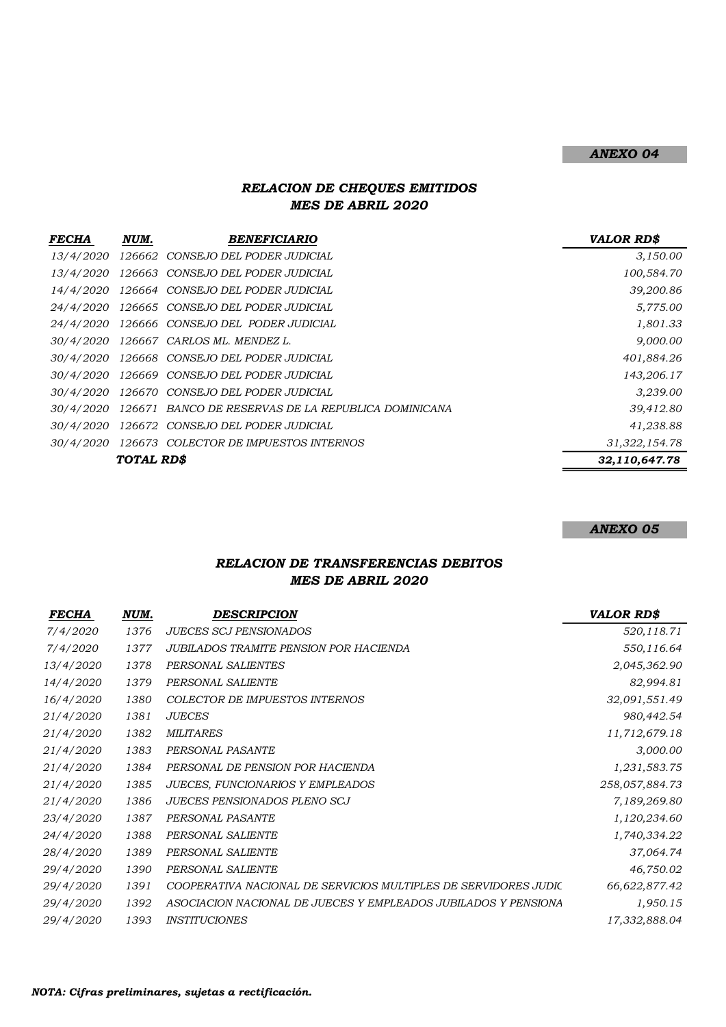### ANEXO 04

## RELACION DE CHEQUES EMITIDOS MES DE ABRIL 2020

| <b>FECHA</b>     | NUM.             | <b>BENEFICIARIO</b>                                 | <b>VALOR RD\$</b> |
|------------------|------------------|-----------------------------------------------------|-------------------|
| 13/4/2020        | 126662           | CONSEJO DEL PODER JUDICIAL                          | 3,150.00          |
| 13/4/2020        |                  | 126663 CONSEJO DEL PODER JUDICIAL                   | 100,584.70        |
| 14/4/2020        |                  | 126664 CONSEJO DEL PODER JUDICIAL                   | 39,200.86         |
| 24/4/2020        |                  | 126665 CONSEJO DEL PODER JUDICIAL                   | 5,775.00          |
|                  |                  | 24/4/2020 126666 CONSEJO DEL PODER JUDICIAL         | 1,801.33          |
| <i>30/4/2020</i> |                  | 126667 CARLOS ML. MENDEZ L.                         | 9,000.00          |
|                  |                  | 30/4/2020 126668 CONSEJO DEL PODER JUDICIAL         | 401,884.26        |
| <i>30/4/2020</i> |                  | 126669 CONSEJO DEL PODER JUDICIAL                   | 143,206.17        |
| <i>30/4/2020</i> |                  | 126670 CONSEJO DEL PODER JUDICIAL                   | 3,239.00          |
| <i>30/4/2020</i> |                  | 126671 BANCO DE RESERVAS DE LA REPUBLICA DOMINICANA | 39,412.80         |
| <i>30/4/2020</i> | 126672           | CONSEJO DEL PODER JUDICIAL                          | 41,238.88         |
| <i>30/4/2020</i> |                  | 126673 COLECTOR DE IMPUESTOS INTERNOS               | 31, 322, 154.78   |
|                  | <b>TOTAL RDS</b> |                                                     | 32,110,647.78     |

ANEXO 05

## RELACION DE TRANSFERENCIAS DEBITOS MES DE ABRIL 2020

| FECHA     | NUM. | <b>DESCRIPCION</b>                                              | <b>VALOR RD\$</b> |
|-----------|------|-----------------------------------------------------------------|-------------------|
| 7/4/2020  | 1376 | <b>JUECES SCJ PENSIONADOS</b>                                   | 520,118.71        |
| 7/4/2020  | 1377 | <b>JUBILADOS TRAMITE PENSION POR HACIENDA</b>                   | 550,116.64        |
| 13/4/2020 | 1378 | PERSONAL SALIENTES                                              | 2,045,362.90      |
| 14/4/2020 | 1379 | PERSONAL SALIENTE                                               | 82,994.81         |
| 16/4/2020 | 1380 | COLECTOR DE IMPUESTOS INTERNOS                                  | 32,091,551.49     |
| 21/4/2020 | 1381 | <b>JUECES</b>                                                   | 980,442.54        |
| 21/4/2020 | 1382 | <b>MILITARES</b>                                                | 11,712,679.18     |
| 21/4/2020 | 1383 | PERSONAL PASANTE                                                | 3,000.00          |
| 21/4/2020 | 1384 | PERSONAL DE PENSION POR HACIENDA                                | 1,231,583.75      |
| 21/4/2020 | 1385 | JUECES, FUNCIONARIOS Y EMPLEADOS                                | 258,057,884.73    |
| 21/4/2020 | 1386 | <b>JUECES PENSIONADOS PLENO SCJ</b>                             | 7,189,269.80      |
| 23/4/2020 | 1387 | PERSONAL PASANTE                                                | 1,120,234.60      |
| 24/4/2020 | 1388 | PERSONAL SALIENTE                                               | 1,740,334.22      |
| 28/4/2020 | 1389 | PERSONAL SALIENTE                                               | 37,064.74         |
| 29/4/2020 | 1390 | PERSONAL SALIENTE                                               | 46,750.02         |
| 29/4/2020 | 1391 | COOPERATIVA NACIONAL DE SERVICIOS MULTIPLES DE SERVIDORES JUDIC | 66,622,877.42     |
| 29/4/2020 | 1392 | ASOCIACION NACIONAL DE JUECES Y EMPLEADOS JUBILADOS Y PENSIONA  | 1,950.15          |
| 29/4/2020 | 1393 | <b>INSTITUCIONES</b>                                            | 17,332,888.04     |
|           |      |                                                                 |                   |